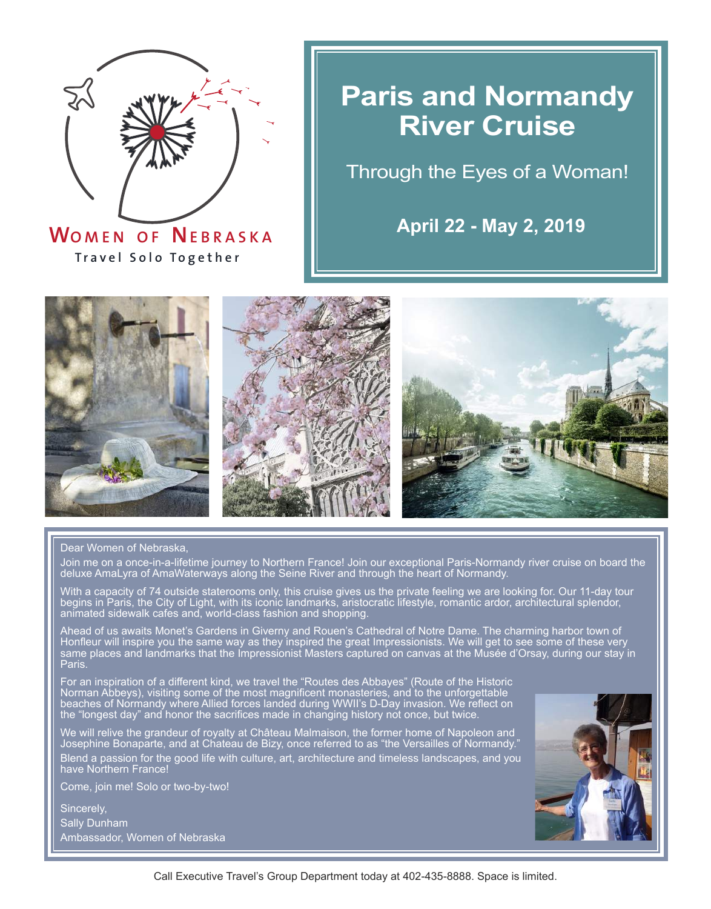

**WO MEN O F NEBRASK <sup>A</sup> T r a v el Solo T o g ether**

## **Paris and Normandy River Cruise**

Through the Eyes of a Woman!

## **April 22 - May 2, 2019**



#### Dear Women of Nebraska,

Join me on a once-in-a-lifetime journey to Northern France! Join our exceptional Paris-Normandy river cruise on board the deluxe AmaLyra of AmaWaterways along the Seine River and through the heart of Normandy.

With a capacity of 74 outside staterooms only, this cruise gives us the private feeling we are looking for. Our 11-day tour begins in Paris, the City of Light, with its iconic landmarks, aristocratic lifestyle, romantic ardor, architectural splendor, animated sidewalk cafes and, world-class fashion and shopping.

Ahead of us awaits Monet's Gardens in Giverny and Rouen's Cathedral of Notre Dame. The charming harbor town of Honfleur will inspire you the same way as they inspired the great Impressionists. We will get to see some of these very same places and landmarks that the Impressionist Masters captured on canvas at the Musée d'Orsay, during our stay in Paris.

For an inspiration of a different kind, we travel the "Routes des Abbayes" (Route of the Historic Norman Abbeys), visiting some of the most magnificent monasteries, and to the unforgettable beaches of Normandy where Allied forces landed during WWII's D-Day invasion. We reflect on the "longest day" and honor the sacrifices made in changing history not once, but twice.

We will relive the grandeur of royalty at Château Malmaison, the former home of Napoleon and Josephine Bonaparte, and at Chateau de Bizy, once referred to as "the Versailles of Normandy." Blend a passion for the good life with culture, art, architecture and timeless landscapes, and you have Northern France!

Come, join me! Solo or two-by-two!

Sincerely, Sally Dunham Ambassador, Women of Nebraska



Call Executive Travel's Group Department today at 402-435-8888. Space is limited.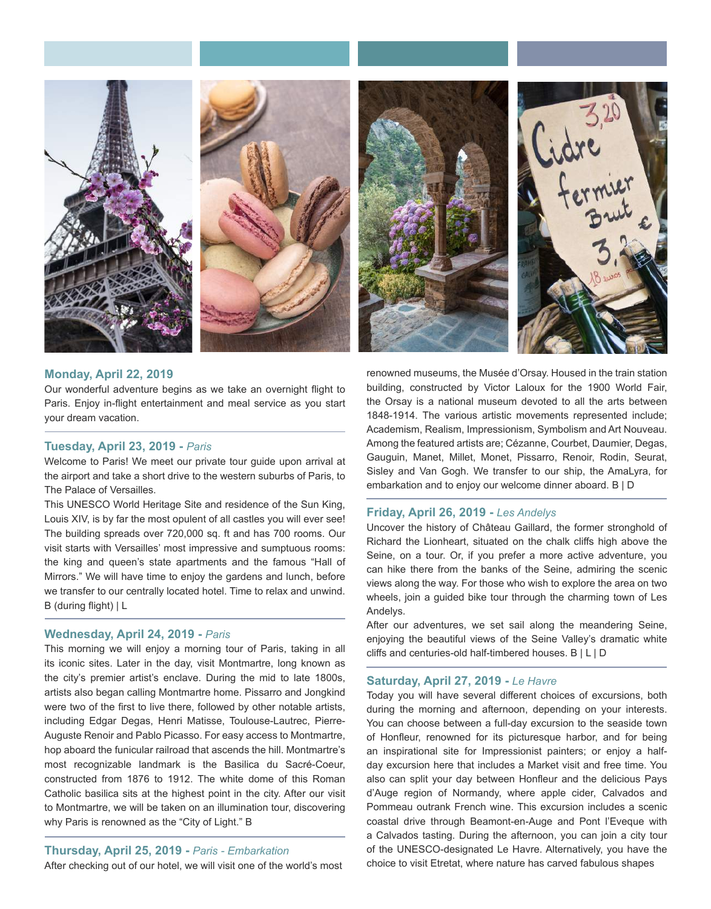

#### **Monday, April 22, 2019**

Our wonderful adventure begins as we take an overnight flight to Paris. Enjoy in-flight entertainment and meal service as you start your dream vacation.

#### **Tuesday, April 23, 2019 -** *Paris*

Welcome to Paris! We meet our private tour guide upon arrival at the airport and take a short drive to the western suburbs of Paris, to The Palace of Versailles.

This UNESCO World Heritage Site and residence of the Sun King, Louis XIV, is by far the most opulent of all castles you will ever see! The building spreads over 720,000 sq. ft and has 700 rooms. Our visit starts with Versailles' most impressive and sumptuous rooms: the king and queen's state apartments and the famous "Hall of Mirrors." We will have time to enjoy the gardens and lunch, before we transfer to our centrally located hotel. Time to relax and unwind. B (during flight) | L

#### **Wednesday, April 24, 2019 -** *Paris*

This morning we will enjoy a morning tour of Paris, taking in all its iconic sites. Later in the day, visit Montmartre, long known as the city's premier artist's enclave. During the mid to late 1800s, artists also began calling Montmartre home. Pissarro and Jongkind were two of the first to live there, followed by other notable artists, including Edgar Degas, Henri Matisse, Toulouse-Lautrec, Pierre-Auguste Renoir and Pablo Picasso. For easy access to Montmartre, hop aboard the funicular railroad that ascends the hill. Montmartre's most recognizable landmark is the Basilica du Sacré-Coeur, constructed from 1876 to 1912. The white dome of this Roman Catholic basilica sits at the highest point in the city. After our visit to Montmartre, we will be taken on an illumination tour, discovering why Paris is renowned as the "City of Light." B

#### **Thursday, April 25, 2019 -** *Paris - Embarkation*

After checking out of our hotel, we will visit one of the world's most

renowned museums, the Musée d'Orsay. Housed in the train station building, constructed by Victor Laloux for the 1900 World Fair, the Orsay is a national museum devoted to all the arts between 1848-1914. The various artistic movements represented include; Academism, Realism, Impressionism, Symbolism and Art Nouveau. Among the featured artists are; Cézanne, Courbet, Daumier, Degas, Gauguin, Manet, Millet, Monet, Pissarro, Renoir, Rodin, Seurat, Sisley and Van Gogh. We transfer to our ship, the AmaLyra, for embarkation and to enjoy our welcome dinner aboard. B | D

#### **Friday, April 26, 2019 -** *Les Andelys*

Uncover the history of Château Gaillard, the former stronghold of Richard the Lionheart, situated on the chalk cliffs high above the Seine, on a tour. Or, if you prefer a more active adventure, you can hike there from the banks of the Seine, admiring the scenic views along the way. For those who wish to explore the area on two wheels, join a guided bike tour through the charming town of Les Andelys.

After our adventures, we set sail along the meandering Seine, enjoying the beautiful views of the Seine Valley's dramatic white cliffs and centuries-old half-timbered houses. B | L | D

#### **Saturday, April 27, 2019 -** *Le Havre*

Today you will have several different choices of excursions, both during the morning and afternoon, depending on your interests. You can choose between a full-day excursion to the seaside town of Honfleur, renowned for its picturesque harbor, and for being an inspirational site for Impressionist painters; or enjoy a halfday excursion here that includes a Market visit and free time. You also can split your day between Honfleur and the delicious Pays d'Auge region of Normandy, where apple cider, Calvados and Pommeau outrank French wine. This excursion includes a scenic coastal drive through Beamont-en-Auge and Pont l'Eveque with a Calvados tasting. During the afternoon, you can join a city tour of the UNESCO-designated Le Havre. Alternatively, you have the choice to visit Etretat, where nature has carved fabulous shapes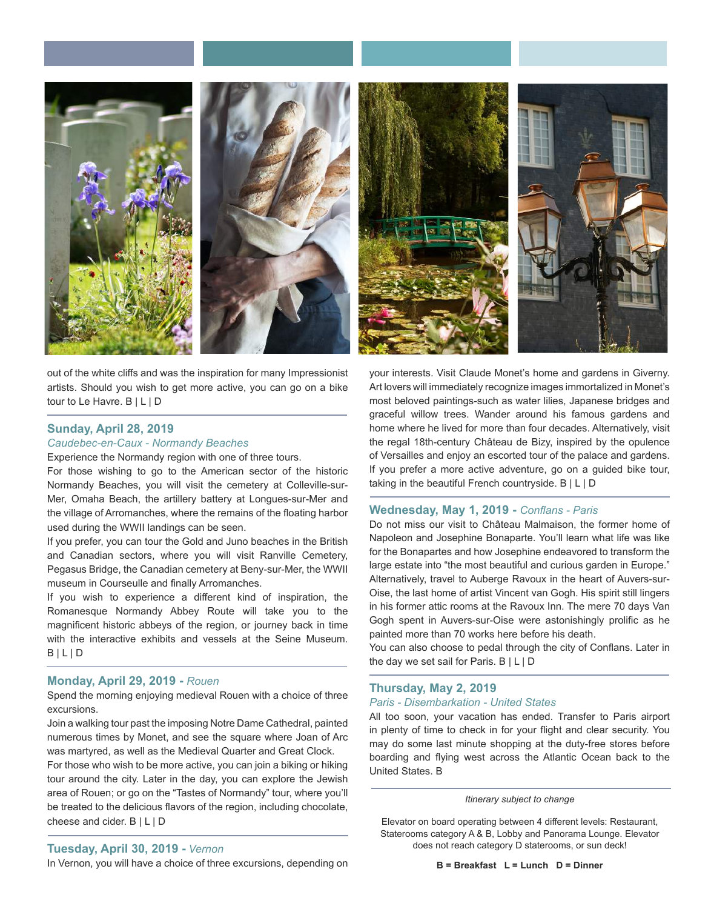

out of the white cliffs and was the inspiration for many Impressionist artists. Should you wish to get more active, you can go on a bike tour to Le Havre. B | L | D

## **Sunday, April 28, 2019**

### *Caudebec-en-Caux - Normandy Beaches*

Experience the Normandy region with one of three tours.

For those wishing to go to the American sector of the historic Normandy Beaches, you will visit the cemetery at Colleville-sur-Mer, Omaha Beach, the artillery battery at Longues-sur-Mer and the village of Arromanches, where the remains of the floating harbor used during the WWII landings can be seen.

If you prefer, you can tour the Gold and Juno beaches in the British and Canadian sectors, where you will visit Ranville Cemetery, Pegasus Bridge, the Canadian cemetery at Beny-sur-Mer, the WWII museum in Courseulle and finally Arromanches.

If you wish to experience a different kind of inspiration, the Romanesque Normandy Abbey Route will take you to the magnificent historic abbeys of the region, or journey back in time with the interactive exhibits and vessels at the Seine Museum. B | L | D

#### **Monday, April 29, 2019 -** *Rouen*

Spend the morning enjoying medieval Rouen with a choice of three excursions.

Join a walking tour past the imposing Notre Dame Cathedral, painted numerous times by Monet, and see the square where Joan of Arc was martyred, as well as the Medieval Quarter and Great Clock.

For those who wish to be more active, you can join a biking or hiking tour around the city. Later in the day, you can explore the Jewish area of Rouen; or go on the "Tastes of Normandy" tour, where you'll be treated to the delicious flavors of the region, including chocolate, cheese and cider. B | L | D

### **Tuesday, April 30, 2019 -** *Vernon*

In Vernon, you will have a choice of three excursions, depending on

your interests. Visit Claude Monet's home and gardens in Giverny. Art lovers will immediately recognize images immortalized in Monet's most beloved paintings-such as water lilies, Japanese bridges and graceful willow trees. Wander around his famous gardens and home where he lived for more than four decades. Alternatively, visit the regal 18th-century Château de Bizy, inspired by the opulence of Versailles and enjoy an escorted tour of the palace and gardens. If you prefer a more active adventure, go on a guided bike tour, taking in the beautiful French countryside. B | L | D

#### **Wednesday, May 1, 2019 -** *Conflans - Paris*

Do not miss our visit to Château Malmaison, the former home of Napoleon and Josephine Bonaparte. You'll learn what life was like for the Bonapartes and how Josephine endeavored to transform the large estate into "the most beautiful and curious garden in Europe." Alternatively, travel to Auberge Ravoux in the heart of Auvers-sur-Oise, the last home of artist Vincent van Gogh. His spirit still lingers in his former attic rooms at the Ravoux Inn. The mere 70 days Van Gogh spent in Auvers-sur-Oise were astonishingly prolific as he painted more than 70 works here before his death.

You can also choose to pedal through the city of Conflans. Later in the day we set sail for Paris. B | L | D

#### **Thursday, May 2, 2019**

#### *Paris - Disembarkation - United States*

All too soon, your vacation has ended. Transfer to Paris airport in plenty of time to check in for your flight and clear security. You may do some last minute shopping at the duty-free stores before boarding and flying west across the Atlantic Ocean back to the United States. B

*Itinerary subject to change*

Elevator on board operating between 4 different levels: Restaurant, Staterooms category A & B, Lobby and Panorama Lounge. Elevator does not reach category D staterooms, or sun deck!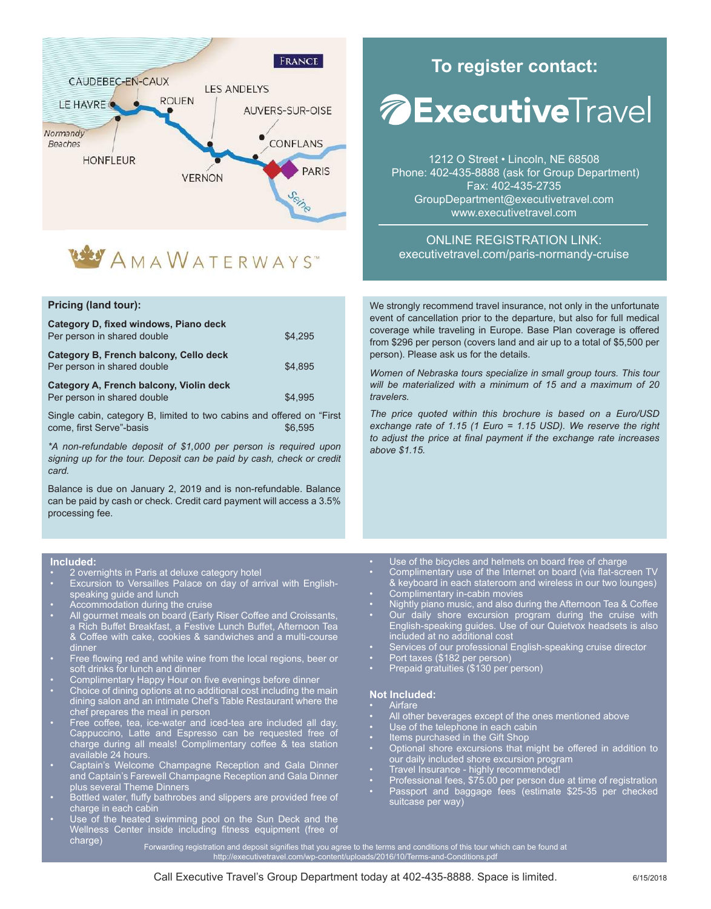



#### **Pricing (land tour):**

| Category D, fixed windows, Piano deck<br>Per person in shared double   | \$4.295 |
|------------------------------------------------------------------------|---------|
| Category B, French balcony, Cello deck<br>Per person in shared double  | \$4.895 |
| Category A, French balcony, Violin deck<br>Per person in shared double | \$4.995 |
| Single cabin, category B, limited to two cabins and offered on "Fi     |         |

Single cabin, category B, limited to two cabins and offered on "First come, first Serve"-basis  $$6,595$ 

*\*A non-refundable deposit of \$1,000 per person is required upon signing up for the tour. Deposit can be paid by cash, check or credit card.* 

Balance is due on January 2, 2019 and is non-refundable. Balance can be paid by cash or check. Credit card payment will access a 3.5% processing fee.

#### **Included:**

- 2 overnights in Paris at deluxe category hotel
- Excursion to Versailles Palace on day of arrival with Englishspeaking guide and lunch
- Accommodation during the cruise
- All gourmet meals on board (Early Riser Coffee and Croissants, a Rich Buffet Breakfast, a Festive Lunch Buffet, Afternoon Tea & Coffee with cake, cookies & sandwiches and a multi-course dinner
- Free flowing red and white wine from the local regions, beer or soft drinks for lunch and dinner
- Complimentary Happy Hour on five evenings before dinner
- Choice of dining options at no additional cost including the main dining salon and an intimate Chef's Table Restaurant where the chef prepares the meal in person
- Free coffee, tea, ice-water and iced-tea are included all day. Cappuccino, Latte and Espresso can be requested free of charge during all meals! Complimentary coffee & tea station available 24 hours.
- Captain's Welcome Champagne Reception and Gala Dinner and Captain's Farewell Champagne Reception and Gala Dinner plus several Theme Dinners
- Bottled water, fluffy bathrobes and slippers are provided free of charge in each cabin
- Use of the heated swimming pool on the Sun Deck and the Wellness Center inside including fitness equipment (free of charge)

**To register contact:**

# *A* **Executive**Travel

1212 O Street • Lincoln, NE 68508 Phone: 402-435-8888 (ask for Group Department) Fax: 402-435-2735 GroupDepartment@executivetravel.com www.executivetravel.com

ONLINE REGISTRATION LINK: executivetravel.com/paris-normandy-cruise

We strongly recommend travel insurance, not only in the unfortunate event of cancellation prior to the departure, but also for full medical coverage while traveling in Europe. Base Plan coverage is offered from \$296 per person (covers land and air up to a total of \$5,500 per person). Please ask us for the details.

*Women of Nebraska tours specialize in small group tours. This tour will be materialized with a minimum of 15 and a maximum of 20 travelers.*

*The price quoted within this brochure is based on a Euro/USD exchange rate of 1.15 (1 Euro = 1.15 USD). We reserve the right to adjust the price at final payment if the exchange rate increases above \$1.15.*

- Use of the bicycles and helmets on board free of charge
- Complimentary use of the Internet on board (via flat-screen TV & keyboard in each stateroom and wireless in our two lounges)
- Complimentary in-cabin movies
- Nightly piano music, and also during the Afternoon Tea & Coffee
- Our daily shore excursion program during the cruise with English-speaking guides. Use of our Quietvox headsets is also included at no additional cost
- Services of our professional English-speaking cruise director
- Port taxes (\$182 per person)
- Prepaid gratuities (\$130 per person)

#### **Not Included:**

- **Airfare**
- All other beverages except of the ones mentioned above
- Use of the telephone in each cabin
- Items purchased in the Gift Shop
- Optional shore excursions that might be offered in addition to our daily included shore excursion program
- Travel Insurance highly recommended!
- Professional fees, \$75.00 per person due at time of registration
- Passport and baggage fees (estimate \$25-35 per checked suitcase per way)

Forwarding registration and deposit signifies that you agree to the terms and conditions of this tour which can be found at http://executivetravel.com/wp-content/uploads/2016/10/Terms-and-Conditions.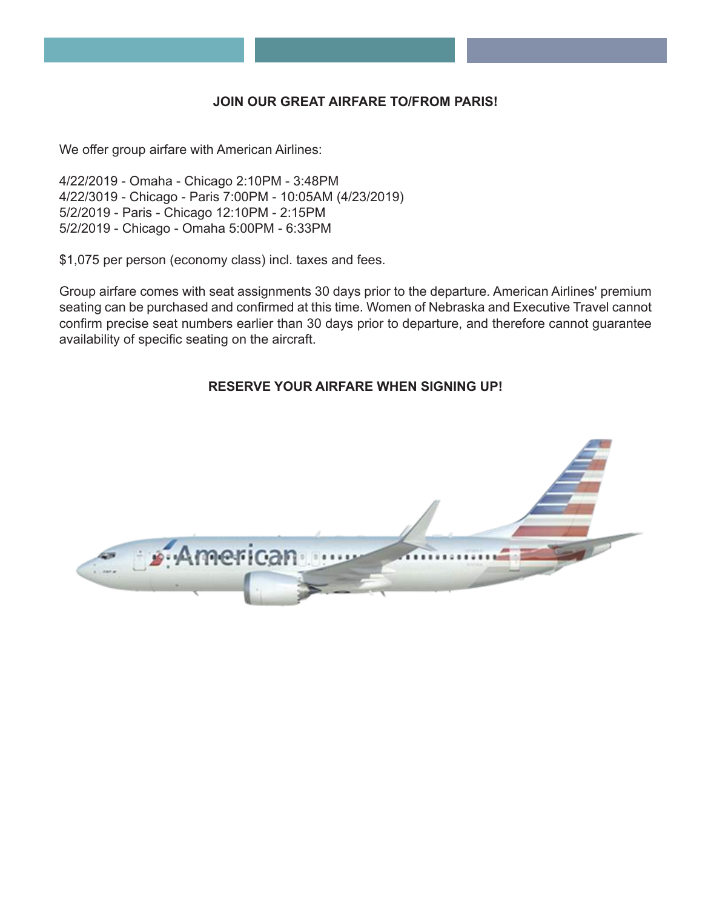## **JOIN OUR GREAT AIRFARE TO/FROM PARIS!**

We offer group airfare with American Airlines:

4/22/2019 - Omaha - Chicago 2:10PM - 3:48PM 4/22/3019 - Chicago - Paris 7:00PM - 10:05AM (4/23/2019) 5/2/2019 - Paris - Chicago 12:10PM - 2:15PM 5/2/2019 - Chicago - Omaha 5:00PM - 6:33PM

\$1,075 per person (economy class) incl. taxes and fees.

Group airfare comes with seat assignments 30 days prior to the departure. American Airlines' premium seating can be purchased and confirmed at this time. Women of Nebraska and Executive Travel cannot confirm precise seat numbers earlier than 30 days prior to departure, and therefore cannot guarantee availability of specific seating on the aircraft.

## **RESERVE YOUR AIRFARE WHEN SIGNING UP!**

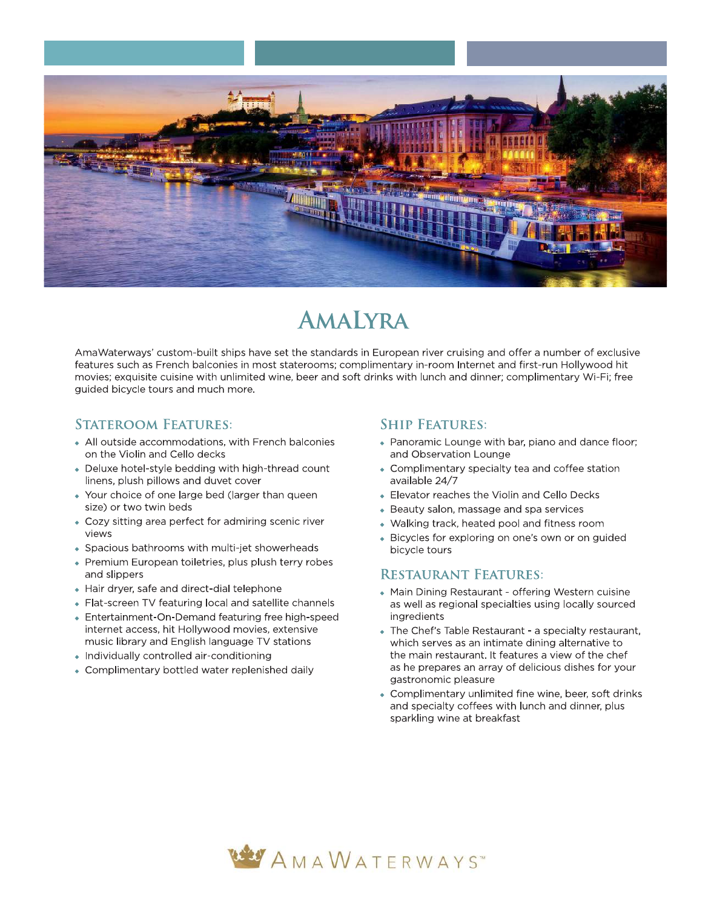

# **AMALYRA**

AmaWaterways' custom-built ships have set the standards in European river cruising and offer a number of exclusive features such as French balconies in most staterooms; complimentary in-room Internet and first-run Hollywood hit movies; exquisite cuisine with unlimited wine, beer and soft drinks with lunch and dinner; complimentary Wi-Fi; free guided bicycle tours and much more.

## **STATEROOM FEATURES:**

- All outside accommodations, with French balconies on the Violin and Cello decks
- Deluxe hotel-style bedding with high-thread count linens, plush pillows and duvet cover
- Your choice of one large bed (larger than queen size) or two twin beds
- Cozy sitting area perfect for admiring scenic river views
- Spacious bathrooms with multi-jet showerheads
- Premium European toiletries, plus plush terry robes and slippers
- + Hair dryer, safe and direct-dial telephone
- Flat-screen TV featuring local and satellite channels
- Entertainment-On-Demand featuring free high-speed internet access, hit Hollywood movies, extensive music library and English language TV stations
- Individually controlled air-conditioning
- Complimentary bottled water replenished daily

### **SHIP FEATURES:**

- Panoramic Lounge with bar, piano and dance floor; and Observation Lounge
- Complimentary specialty tea and coffee station available 24/7
- Elevator reaches the Violin and Cello Decks
- Beauty salon, massage and spa services
- Walking track, heated pool and fitness room
- Bicycles for exploring on one's own or on guided bicycle tours

### **RESTAURANT FEATURES:**

- Main Dining Restaurant offering Western cuisine as well as regional specialties using locally sourced ingredients
- The Chef's Table Restaurant a specialty restaurant, which serves as an intimate dining alternative to the main restaurant. It features a view of the chef as he prepares an array of delicious dishes for your gastronomic pleasure
- Complimentary unlimited fine wine, beer, soft drinks and specialty coffees with lunch and dinner, plus sparkling wine at breakfast